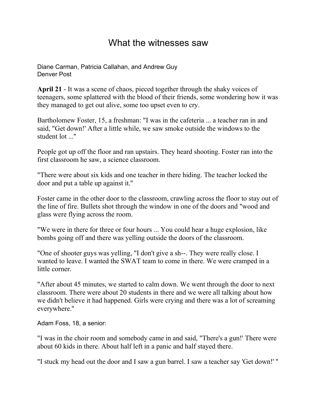## What the witnesses saw

Diane Carman, [Patricia Callahan,](http://web.archive.org/web/20000817191150/mailto:newsroom@denverpost.com) and Andrew Guy Denver Post

**April 21** - It was a scene of chaos, pieced together through the shaky voices of teenagers, some splattered with the blood of their friends, some wondering how it was they managed to get out alive, some too upset even to cry.

Bartholomew Foster, 15, a freshman: "I was in the cafeteria ... a teacher ran in and said, "Get down!' After a little while, we saw smoke outside the windows to the student lot ...''

People got up off the floor and ran upstairs. They heard shooting. Foster ran into the first classroom he saw, a science classroom.

"There were about six kids and one teacher in there hiding. The teacher locked the door and put a table up against it.''

Foster came in the other door to the classroom, crawling across the floor to stay out of the line of fire. Bullets shot through the window in one of the doors and "wood and glass were flying across the room.

"We were in there for three or four hours ... You could hear a huge explosion, like bombs going off and there was yelling outside the doors of the classroom.

"One of shooter guys was yelling, "I don't give a sh--. They were really close. I wanted to leave. I wanted the SWAT team to come in there. We were cramped in a little corner.

"After about 45 minutes, we started to calm down. We went through the door to next classroom. There were about 20 students in there and we were all talking about how we didn't believe it had happened. Girls were crying and there was a lot of screaming everywhere.''

Adam Foss, 18, a senior:

"I was in the choir room and somebody came in and said, "There's a gun!' There were about 60 kids in there. About half left in a panic and half stayed there.

"I stuck my head out the door and I saw a gun barrel. I saw a teacher say 'Get down!' ''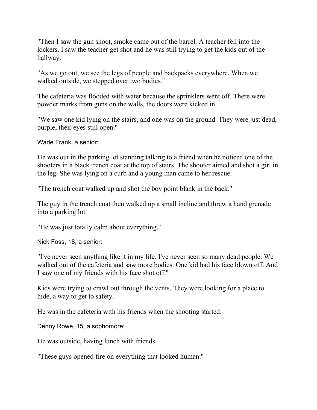"Then I saw the gun shoot, smoke came out of the barrel. A teacher fell into the lockers. I saw the teacher get shot and he was still trying to get the kids out of the hallway.

"As we go out, we see the legs of people and backpacks everywhere. When we walked outside, we stepped over two bodies.''

The cafeteria was flooded with water because the sprinklers went off. There were powder marks from guns on the walls, the doors were kicked in.

"We saw one kid lying on the stairs, and one was on the ground. They were just dead, purple, their eyes still open.''

Wade Frank, a senior:

He was out in the parking lot standing talking to a friend when he noticed one of the shooters in a black trench coat at the top of stairs. The shooter aimed and shot a girl in the leg. She was lying on a curb and a young man came to her rescue.

"The trench coat walked up and shot the boy point blank in the back.''

The guy in the trench coat then walked up a small incline and threw a hand grenade into a parking lot.

"He was just totally calm about everything.''

Nick Foss, 18, a senior:

"I've never seen anything like it in my life. I've never seen so many dead people. We walked out of the cafeteria and saw more bodies. One kid had his face blown off. And I saw one of my friends with his face shot off.''

Kids were trying to crawl out through the vents. They were looking for a place to hide, a way to get to safety.

He was in the cafeteria with his friends when the shooting started.

Denny Rowe, 15, a sophomore:

He was outside, having lunch with friends.

"These guys opened fire on everything that looked human.''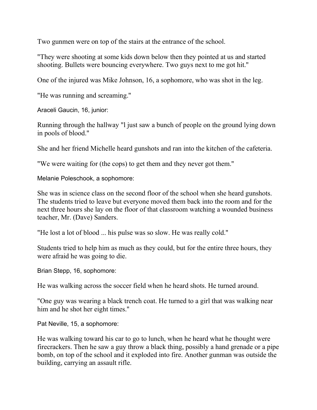Two gunmen were on top of the stairs at the entrance of the school.

"They were shooting at some kids down below then they pointed at us and started shooting. Bullets were bouncing everywhere. Two guys next to me got hit.''

One of the injured was Mike Johnson, 16, a sophomore, who was shot in the leg.

"He was running and screaming.''

Araceli Gaucin, 16, junior:

Running through the hallway "l just saw a bunch of people on the ground lying down in pools of blood.''

She and her friend Michelle heard gunshots and ran into the kitchen of the cafeteria.

"We were waiting for (the cops) to get them and they never got them.''

Melanie Poleschook, a sophomore:

She was in science class on the second floor of the school when she heard gunshots. The students tried to leave but everyone moved them back into the room and for the next three hours she lay on the floor of that classroom watching a wounded business teacher, Mr. (Dave) Sanders.

"He lost a lot of blood ... his pulse was so slow. He was really cold.''

Students tried to help him as much as they could, but for the entire three hours, they were afraid he was going to die.

Brian Stepp, 16, sophomore:

He was walking across the soccer field when he heard shots. He turned around.

"One guy was wearing a black trench coat. He turned to a girl that was walking near him and he shot her eight times.''

Pat Neville, 15, a sophomore:

He was walking toward his car to go to lunch, when he heard what he thought were firecrackers. Then he saw a guy throw a black thing, possibly a hand grenade or a pipe bomb, on top of the school and it exploded into fire. Another gunman was outside the building, carrying an assault rifle.